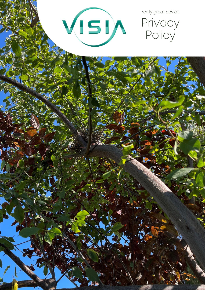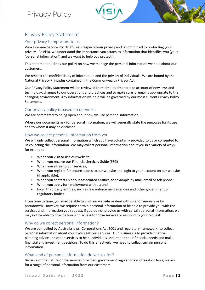



# Privacy Policy Statement

# Your privacy is important to us

Visia Licensee Service Pty Ltd ('Visia') respects your privacy and is committed to protecting your privacy. At Visia, we understand the importance you attach to information that identifies you (your 'personal information') and we want to help you protect it.

This statement outlines our policy on how we manage the personal information we hold about our customers.

We respect the confidentiality of information and the privacy of individuals. We are bound by the National Privacy Principles contained in the Commonwealth Privacy Act.

Our Privacy Policy Statement will be reviewed from time to time to take account of new laws and technology, changes to our operations and practices and to make sure it remains appropriate to the changing environment. Any information we hold will be governed by our most current Privacy Policy Statement.

#### Our privacy policy is based on openness

We are committed to being open about how we use personal information.

Where our documents ask for personal information, we will generally state the purposes for its use and to whom it may be disclosed.

# How we collect personal information from you

We will only collect personal information which you have voluntarily provided to us or consented to us collecting the information. We may collect personal information about you in a variety of ways, for example:

- When you visit or use our website;
- When you receive our Financial Services Guide (FSG)
- When you agree to our services;
- When you register for secure access to our website and login to your account on our website (if applicable);
- When you contact us or our associated entities, for example by mail, email or telephone;
- When you apply for employment with us; and
- From third party entities, such as law enforcement agencies and other government or regulatory bodies.

From time to time, you may be able to visit our website or deal with us anonymously or by pseudonym. However, we require certain personal information to be able to provide you with the services and information you request. If you do not provide us with certain personal information, we may not be able to provide you with access to those services or respond to your request.

# Why do we collect personal information?

We are compelled by Australia laws (Corporations Act 2001 and regulatory framework) to collect personal information about you if you seek our services. Our business is to provide financial planning advice and other services to help individuals understand their financial needs and make financial and investment decisions. To do this effectively, we need to collect certain personal information.

# What kind of personal information do we ask for?

Because of the nature of the services provided, government regulations and taxation laws, we ask for a range of personal information from our customers.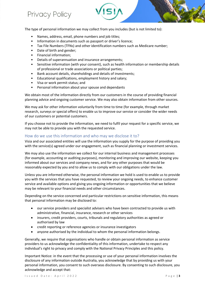

The type of personal information we may collect from you includes (but is not limited to):

- Names, address, email, phone numbers and job titles;
- Information in documents such as passport or driver's licence;
- Tax File Numbers (TFNs) and other identification numbers such as Medicare number;
- Date of birth and gender;
- Financial information;
- Details of superannuation and insurance arrangements;
- Sensitive information (with your consent), such as health information or membership details of professional or trade associations or political parties;
- Bank account details, shareholdings and details of investments;
- Educational qualifications, employment history and salary;
- Visa or work permit status; and
- Personal information about your spouse and dependants

We obtain most of the information directly from our customers in the course of providing financial planning advice and ongoing customer service. We may also obtain information from other sources.

We may ask for other information voluntarily from time to time (for example, through market research, surveys or special offers) to enable us to improve our service or consider the wider needs of our customers or potential customers.

If you choose not to provide the information, we need to fulfil your request for a specific service, we may not be able to provide you with the requested service.

#### How do we use this information and who may we disclose it to?

Visia and our associated entities will use the information you supply for the purpose of providing you with the service(s) agreed under our engagement, such as financial planning or investment services.

We may also use the information we collect for our internal business and management processes (for example, accounting or auditing purposes), monitoring and improving our website, keeping you informed about our services and company news, and for any other purposes that would be reasonably expected by you and to allow us to comply with our obligations under the law.

Unless you are informed otherwise, the personal information we hold is used to enable us to provide you with the services that you have requested, to review your ongoing needs, to enhance customer service and available options and giving you ongoing information or opportunities that we believe may be relevant to your financial needs and other circumstances.

Depending on the service concerned and particular restrictions on sensitive information, this means that personal information may be disclosed to:

- our service providers and specialist advisers who have been contracted to provide us with administrative, financial, insurance, research or other services
- insurers, credit providers, courts, tribunals and regulatory authorities as agreed or authorised by law
- credit reporting or reference agencies or insurance investigators
- anyone authorised by the individual to whom the personal information belongs.

Generally, we require that organisations who handle or obtain personal information as service providers to us acknowledge the confidentiality of this information, undertake to respect any individual's right to privacy and comply with the National Privacy Principles and this policy.

Important Notice: in the event that the processing or use of your personal information involves the disclosure of any information outside Australia, you acknowledge that by providing us with your personal information, you consent to such overseas disclosure. By consenting to such disclosure, you acknowledge and accept that: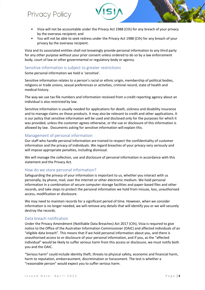# Privacy Policy

- Visia will not be accountable under the Privacy Act 1988 (Cth) for any breach of your privacy by the overseas recipient; and
- You will not be able to seek redress under the Privacy Act 1988 (Cth) for any breach of your privacy by the overseas recipient.

Visia and its associated entities shall not knowingly provide personal information to any third party for any other purpose without your prior consent unless ordered to do so by a law enforcement body, court of law or other governmental or regulatory body or agency.

#### Sensitive information is subject to greater restrictions

Some personal information we hold is 'sensitive'.

Sensitive information relates to a person's racial or ethnic origin, membership of political bodies, religions or trade unions, sexual preferences or activities, criminal record, state of health and medical history.

The way we use tax file numbers and information received from a credit reporting agency about an individual is also restricted by law.

Sensitive information is usually needed for applications for death, sickness and disability insurance and to manage claims on those products. It may also be relevant to credit and other applications. It is our policy that sensitive information will be used and disclosed only for the purposes for which it was provided, unless the customer agrees otherwise, or the use or disclosure of this information is allowed by law. Documents asking for sensitive information will explain this.

# Management of personal information

Our staff who handle personal information are trained to respect the confidentiality of customer information and the privacy of individuals. We regard breaches of your privacy very seriously and will impose appropriate penalties, including dismissal.

We will manage the collection, use and disclosure of personal information in accordance with this statement and the Privacy Act.

#### How do we store personal information?

Safeguarding the privacy of your information is important to us, whether you interact with us personally, by phone, mail, over the internet or other electronic medium. We hold personal information in a combination of secure computer storage facilities and paper-based files and other records, and take steps to protect the personal information we hold from misuse, loss, unauthorised access, modification or disclosure.

We may need to maintain records for a significant period of time. However, when we consider information is no longer needed, we will remove any details that will identify you or we will securely destroy the records.

# Data breach notification

Under the Privacy Amendment (Notifiable Data Breaches) Act 2017 (Cth), Visia is required to give notice to the Office of the Australian Information Commissioner (OAIC) and affected individuals of an "eligible data breach". This means that if we hold personal information about you, and there is unauthorised access to or disclosure of your personal information, and if you, as the "affected individual" would be likely to suffer serious harm from this access or disclosure, we must notify both you and the OAIC.

"Serious harm" could include identity theft, threats to physical safety, economic and financial harm, harm to reputation, embarrassment, discrimination or harassment. The test is whether a "reasonable person" would expect you to suffer serious harm.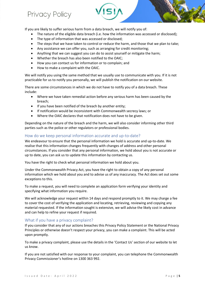If you are likely to suffer serious harm from a data breach, we will notify you of:

- The nature of the eligible data breach (i.e. how the information was accessed or disclosed);
- The type of information that was accessed or disclosed;
- The steps that we have taken to control or reduce the harm, and those that we plan to take;
- Any assistance we can offer you, such as arranging for credit monitoring;
- Anything that we can suggest you can do to assist yourself or mitigate the harm;
- Whether the breach has also been notified to the OAIC;
- How you can contact us for information or to complain; and
- How to make a complaint with the OAIC.

Privacy Policy

We will notify you using the same method that we usually use to communicate with you. If it is not practicable for us to notify you personally, we will publish the notification on our website.

There are some circumstances in which we do not have to notify you of a data breach. These include:

- Where we have taken remedial action before any serious harm has been caused by the breach;
- If you have been notified of the breach by another entity;
- If notification would be inconsistent with Commonwealth secrecy laws; or
- Where the OAIC declares that notification does not have to be given.

Depending on the nature of the breach and the harm, we will also consider informing other third parties such as the police or other regulators or professional bodies.

#### How do we keep personal information accurate and up-to-date?

We endeavour to ensure that the personal information we hold is accurate and up-to-date. We realise that this information changes frequently with changes of address and other personal circumstances. If you consider that any personal information, we hold about you is not accurate or up to date, you can ask us to update this information by contacting us.

You have the right to check what personal information we hold about you.

Under the Commonwealth Privacy Act, you have the right to obtain a copy of any personal information which we hold about you and to advise us of any inaccuracy. The Act does set out some exceptions to this.

To make a request, you will need to complete an application form verifying your identity and specifying what information you require.

We will acknowledge your request within 14 days and respond promptly to it. We may charge a fee to cover the cost of verifying the application and locating, retrieving, reviewing and copying any material requested. If the information sought is extensive, we will advise the likely cost in advance and can help to refine your request if required.

#### What if you have a privacy complaint?

If you consider that any of our actions breaches this Privacy Policy Statement or the National Privacy Principles or otherwise doesn't respect your privacy, you can make a complaint. This will be acted upon promptly.

To make a privacy complaint, please use the details in the 'Contact Us' section of our website to let us know.

If you are not satisfied with our response to your complaint, you can telephone the Commonwealth Privacy Commissioner's hotline on 1300 363 992.